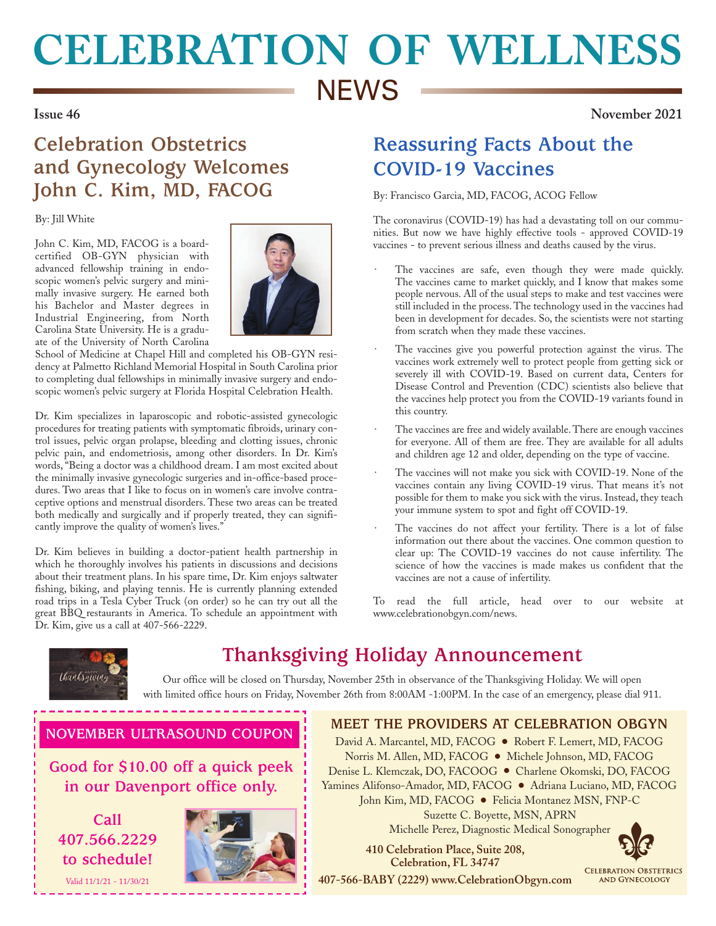# **CELEBRATION OF WELLNESS NEWS**

**Issue 46 November 2021**

## **Celebration Obstetrics and Gynecology Welcomes John C. Kim, MD, FACOG**

By: Jill White

John C. Kim, MD, FACOG is a boardcertified OB-GYN physician with advanced fellowship training in endoscopic women's pelvic surgery and minimally invasive surgery. He earned both his Bachelor and Master degrees in Industrial Engineering, from North Carolina State University. He is a graduate of the University of North Carolina



School of Medicine at Chapel Hill and completed his OB-GYN residency at Palmetto Richland Memorial Hospital in South Carolina prior to completing dual fellowships in minimally invasive surgery and endoscopic women's pelvic surgery at Florida Hospital Celebration Health.

Dr. Kim specializes in laparoscopic and robotic-assisted gynecologic procedures for treating patients with symptomatic fibroids, urinary control issues, pelvic organ prolapse, bleeding and clotting issues, chronic pelvic pain, and endometriosis, among other disorders. In Dr. Kim's words, "Being a doctor was a childhood dream. I am most excited about the minimally invasive gynecologic surgeries and in-office-based procedures. Two areas that I like to focus on in women's care involve contraceptive options and menstrual disorders. These two areas can be treated both medically and surgically and if properly treated, they can significantly improve the quality of women's lives."

Dr. Kim believes in building a doctor-patient health partnership in which he thoroughly involves his patients in discussions and decisions about their treatment plans. In his spare time, Dr. Kim enjoys saltwater fishing, biking, and playing tennis. He is currently planning extended road trips in a Tesla Cyber Truck (on order) so he can try out all the great BBQ restaurants in America. To schedule an appointment with Dr. Kim, give us a call at 407-566-2229.

## **Reassuring Facts About the COVID-19 Vaccines**

By: Francisco Garcia, MD, FACOG, ACOG Fellow

The coronavirus (COVID-19) has had a devastating toll on our communities. But now we have highly effective tools - approved COVID-19 vaccines - to prevent serious illness and deaths caused by the virus.

- The vaccines are safe, even though they were made quickly. The vaccines came to market quickly, and I know that makes some people nervous. All of the usual steps to make and test vaccines were still included in the process. The technology used in the vaccines had been in development for decades. So, the scientists were not starting from scratch when they made these vaccines.
- The vaccines give you powerful protection against the virus. The vaccines work extremely well to protect people from getting sick or severely ill with COVID-19. Based on current data, Centers for Disease Control and Prevention (CDC) scientists also believe that the vaccines help protect you from the COVID-19 variants found in this country.
- The vaccines are free and widely available. There are enough vaccines for everyone. All of them are free. They are available for all adults and children age 12 and older, depending on the type of vaccine.
- The vaccines will not make you sick with COVID-19. None of the vaccines contain any living COVID-19 virus. That means it's not possible for them to make you sick with the virus. Instead, they teach your immune system to spot and fight off COVID-19.
- The vaccines do not affect your fertility. There is a lot of false information out there about the vaccines. One common question to clear up: The COVID-19 vaccines do not cause infertility. The science of how the vaccines is made makes us confident that the vaccines are not a cause of infertility.

To read the full article, head over to our website at www.celebrationobgyn.com/news.



# **Thanksgiving Holiday Announcement**

Our office will be closed on Thursday, November 25th in observance of the Thanksgiving Holiday. We will open with limited office hours on Friday, November 26th from 8:00AM -1:00PM. In the case of an emergency, please dial 911.

### **NOVEMBER ULTRASOUND COUPON**

**Good for \$10.00 off a quick peek in our Davenport office only.**

**Call 407.566.2229 to schedule!**

Valid 11/1/21 - 11/30/21



**MEET THE PROVIDERS AT CELEBRATION OBGYN**

David A. Marcantel, MD, FACOG ● Robert F. Lemert, MD, FACOG Norris M. Allen, MD, FACOG ● Michele Johnson, MD, FACOG Denise L. Klemczak, DO, FACOOG ● Charlene Okomski, DO, FACOG Yamines Alifonso-Amador, MD, FACOG ● Adriana Luciano, MD, FACOG John Kim, MD, FACOG ● Felicia Montanez MSN, FNP-C Suzette C. Boyette, MSN, APRN Michelle Perez, Diagnostic Medical Sonographer

 **410 Celebration Place, Suite 208, Celebration, FL 34747**

**CELEBRATION OBSTETRICS** 

**AND GYNECOLOGY** 

**407-566-BABY (2229) www.CelebrationObgyn.com**